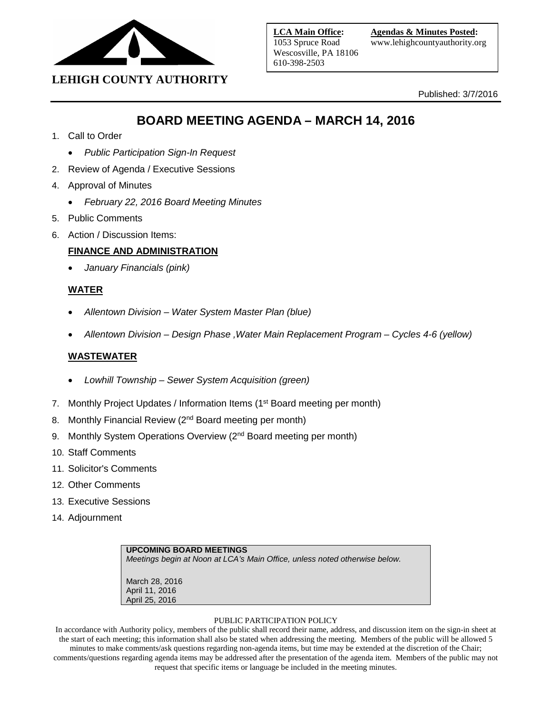

Published: 3/7/2016

# **BOARD MEETING AGENDA – MARCH 14, 2016**

- 1. Call to Order
	- *Public Participation Sign-In Request*
- 2. Review of Agenda / Executive Sessions
- 4. Approval of Minutes
	- *February 22, 2016 Board Meeting Minutes*
- 5. Public Comments
- 6. Action / Discussion Items:

# **FINANCE AND ADMINISTRATION**

• *January Financials (pink)*

# **WATER**

- *Allentown Division – Water System Master Plan (blue)*
- *Allentown Division – Design Phase ,Water Main Replacement Program – Cycles 4-6 (yellow)*

# **WASTEWATER**

- *Lowhill Township – Sewer System Acquisition (green)*
- 7. Monthly Project Updates / Information Items (1<sup>st</sup> Board meeting per month)
- 8. Monthly Financial Review (2<sup>nd</sup> Board meeting per month)
- 9. Monthly System Operations Overview (2<sup>nd</sup> Board meeting per month)
- 10. Staff Comments
- 11. Solicitor's Comments
- 12. Other Comments
- 13. Executive Sessions
- 14. Adjournment

# **UPCOMING BOARD MEETINGS** *Meetings begin at Noon at LCA's Main Office, unless noted otherwise below.* March 28, 2016 April 11, 2016 April 25, 2016

#### PUBLIC PARTICIPATION POLICY

In accordance with Authority policy, members of the public shall record their name, address, and discussion item on the sign-in sheet at the start of each meeting; this information shall also be stated when addressing the meeting. Members of the public will be allowed 5 minutes to make comments/ask questions regarding non-agenda items, but time may be extended at the discretion of the Chair; comments/questions regarding agenda items may be addressed after the presentation of the agenda item. Members of the public may not request that specific items or language be included in the meeting minutes.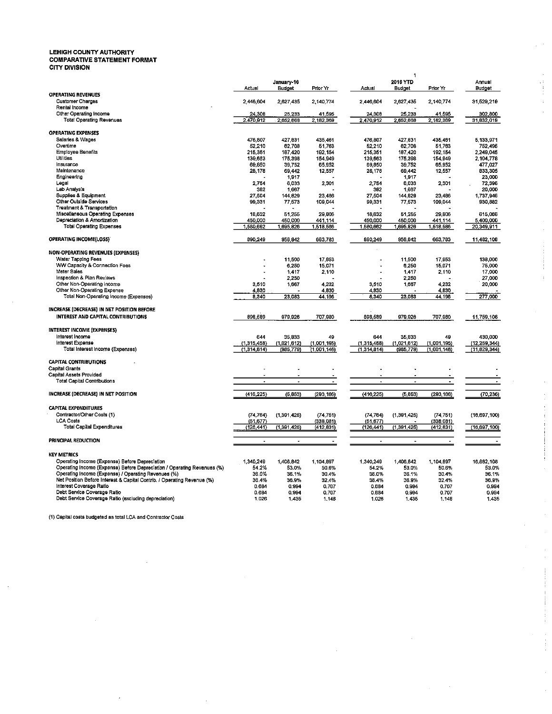# LEHIGH COUNTY AUTHORITY<br>COMPARATIVE STATEMENT FORMAT<br>CITY DIVISION

|                                                                                                    | Actual              | January 16<br><b>Budget</b> | Prior Yr            | Actual              | 1<br>2016 YTD<br>Budget | Prior Yr            | Annual<br>Budget      |
|----------------------------------------------------------------------------------------------------|---------------------|-----------------------------|---------------------|---------------------|-------------------------|---------------------|-----------------------|
| <b>OPERATING REVENUES</b><br><b>Customer Charges</b>                                               | 2,446,604           | 2,627,435                   | 2,140,774           | 2,446,604           | 2,627,435               | 2,140,774           | 31,529,219            |
| Rental Income<br>Other Operating Income<br><b>Total Operating Revenues</b>                         | 24,308<br>2,470,912 | 25,233<br>2.652.668         | 41,595<br>2,182,369 | 24,308<br>2.470,912 | 25,233<br>2.652,668     | 41,595<br>2,182,369 | 302,800<br>31,632,019 |
| <b>OPERATING EXPENSES</b>                                                                          |                     |                             |                     |                     |                         |                     |                       |
| Salaries & Wages<br>Overtime                                                                       | 476.807<br>52,210   | 427.831<br>62,708           | 435 461<br>51 763   | 476.807<br>52,210   | 427,831<br>62,708       | 435.461<br>51.763   | 5.133.971<br>752,495  |
| <b>Employee Benefits</b>                                                                           | 215,351             | 187,420                     | 192 154             | 215,351             | 187,420                 | 192.154             | 2,249,045             |
| Utilities                                                                                          | 139,683             | 175,398                     | 154.949             | 139,663             | 175,398                 | 154.949             | 2,104,778             |
| Insurance                                                                                          | 69,850              | 39,752                      | 65.952              | 69,850              | 39,752                  | 65.952              | 477,027               |
| Maintenance<br>Engineering                                                                         | 28,178              | 69,442<br>1.917             | 12 557              | 28,178              | 69,442<br>1,917         | 12.557              | 833,305<br>23,000     |
| Legal                                                                                              | 2,754               | 6.033                       | 2.301               | 2,754               | 6,033                   | 2.301               | 72,396                |
| Lab Analysis                                                                                       | 382                 | 1,667                       |                     | 382                 | 1,667                   |                     | 20,000                |
| Supplies & Equipment                                                                               | 27,504              | 144,829                     | 23,486              | 27,504              | 144,829                 | 23.486              | 1,737,946             |
| Other Outside Services<br><b>Treatment &amp; Transportation</b>                                    | 99,331              | 77,573                      | 109.044             | 99,331              | 77,573                  | 109,044             | 930,882               |
| Miscellaneous Operating Expenses                                                                   | 18,632              | 51,255                      | 29.800              | 18,632              | 51,255                  | 29, 300             | 615,066               |
| Depreciation & Amortization                                                                        | 450,000             | 450,000                     | 441 114             | 450.000             | 450.000                 | 441 114             | 5,400,000             |
| <b>Total Operating Expenses</b>                                                                    | 1,580,662           | 1,695,826                   | 1,518,586           | 1,580,662           | 1,695,826               | 1,518,586           | 20,349,911            |
| <b>OPERATING INCOME(LOSS)</b>                                                                      | 890,249             | 956.642                     | 663,783             | 890,249             | 956,642                 | 663.783             | 11,482,108            |
| NON-OPERATING REVENUES (EXPENSES)                                                                  |                     |                             |                     |                     |                         |                     |                       |
| Water Tapping Fees                                                                                 |                     | 11,500                      | 17.953              |                     | 11,500                  | 17.953              | 138,000               |
| WW Capacity & Connection Fees                                                                      |                     | 6.250                       | 15.071              |                     | 6,250                   | 15.071              | 75,000                |
| Meter Sales                                                                                        |                     | 1.417                       | 2.110               |                     | 1.417                   | 2,110               | 17,000                |
| Inspection & Plan Reviews                                                                          |                     | 2,250                       |                     |                     | 2,250                   |                     | 27,000                |
| Other Non-Operating income<br>Other Non-Operating Expense                                          | 3,510<br>4,830      | 1,667                       | 4.232<br>4.830      | 3,510<br>4,830      | 1,667                   | 4 2 3 2<br>4,830    | 20,000                |
| Total Non-Operating Income (Expenses)                                                              | 8,340               | 23,083                      | 44.196              | 8,340               | 23,083                  | 44.196              | 277,000               |
|                                                                                                    |                     |                             |                     |                     |                         |                     |                       |
| INCREASE (DECREASE) IN NET POSITION BEFORE                                                         |                     |                             |                     |                     |                         |                     |                       |
| INTEREST AND CAPITAL CONTRIBUTIONS                                                                 | 898,589             | 979,926                     | 707.980             | 898,589             | 979,928                 | 707,980             | 11,759,108            |
| <b>INTEREST INCOME (EXPENSES)</b>                                                                  |                     |                             |                     |                     |                         |                     |                       |
| Interest Income                                                                                    | 644                 | 35,833                      | 49                  | 644                 | 35,833                  | 49                  | 430,000               |
| Interest Expense                                                                                   | (1,315,458)         | (1,021,612)                 | (1,001,195)         | (1,315,458)         | (1,021,612)             | (1,001,195)         | (12, 259, 344)        |
| Total Interest Income (Expenses)                                                                   | (1,314,614)         | (985, 779)                  | (1,001,146)         | (1,314,814)         | (985, 779)              | (1,001,146)         | (11,829,344)          |
| <b>CAPITAL CONTRIBUTIONS</b>                                                                       |                     |                             |                     |                     |                         |                     |                       |
| <b>Capital Grants</b><br>Capital Assets Provided                                                   |                     | J.                          |                     | ÷                   |                         |                     |                       |
| <b>Total Capital Contributions</b>                                                                 |                     | ÷,                          | $\overline{a}$      | $\overline{a}$      |                         | $\bullet$           | $\bullet$             |
|                                                                                                    |                     |                             |                     |                     |                         |                     |                       |
| INCREASE (DECREASE) IN NET POSITION                                                                | (416, 225)          | (5, 853)                    | (293, 166)          | (416, 225)          | (5, 853)                | (293, 166)          | (70, 236)             |
| <b>CAPITAL EXPENDITURES</b>                                                                        |                     |                             |                     |                     |                         |                     |                       |
| Contractor/Other Costs (1)                                                                         | (74, 764)           | (1, 391, 425)               | (74, 751)           | (74, 764)           | (1, 391, 425)           | (74, 751)           | (16, 697, 100)        |
| <b>LCA Costs</b>                                                                                   | (51, 677)           |                             | (338.081)           | (51, 677)           |                         | (338.081)           |                       |
| <b>Total Capital Expenditures</b>                                                                  | (126,441)           | (1, 391, 425)               | (412.331)           | (126, 441)          | (1, 391, 425)           | (412, 331)          | (16, 697, 100)        |
| PRINCIPAL REDUCTION                                                                                |                     | $\overline{a}$              | $\overline{a}$      | ÷                   | ÷                       |                     |                       |
| <b>KEY METRICS</b>                                                                                 |                     |                             |                     |                     |                         |                     |                       |
| Operating Income (Expense) Before Depreciation                                                     | 1,340,249           | 1,406,842                   | 1,104.897           | 1,340,249           | 1,406,842               | 1,104,897           | 16,882,108            |
| Operating Income (Expense) Before Depreciation / Operating Revenues (%)                            | 54.2%               | 53.0%                       | 50.6%               | 54.2%               | 53.0%                   | 50.6%               | 53.0%                 |
| Operating Income (Expense) / Operating Revenues (%)                                                | 36.0%               | 36.1%                       | 30.4%               | 36.0%               | 36 1%                   | 30.4%               | 36.1%                 |
| Net Position Before Interest & Capital Contrib. / Operating Revenue (%)<br>Interest Coverage Ratio | 36.4%               | 36.9%                       | 32.4%               | 36.4%               | 36.9%                   | 32.4%               | 36.9%                 |
| Debt Service Coverage Ratio                                                                        | 0.684<br>0.684      | 0.994<br>0.994              | 0.707<br>0.707      | 0.684<br>0.684      | 0.994<br>0.994          | 0.707<br>0.707      | 0.994<br>0.994        |
| Debt Service Coverage Ratio (excluding depreciation)                                               | 1.026               | 1.435                       | 1.148               | 1.026               | 1.435                   | 1.148               | 1.435                 |
|                                                                                                    |                     |                             |                     |                     |                         |                     |                       |

 $\bar{z}$ 

 $\hat{\mathcal{F}}$ 

 $\begin{array}{c} 1 \\ 1 \\ 1 \\ 1 \end{array}$ 

Ŷ.

 $\bar{t}$ Ţ. Ť.

 $\frac{1}{2}$ 

 $\pm$ 

 $\begin{array}{c} \cdot \\ \cdot \\ \cdot \\ \cdot \end{array}$ 

à,

(1) Capital costs budgeted as total LCA and Contractor Costs

 $\sim$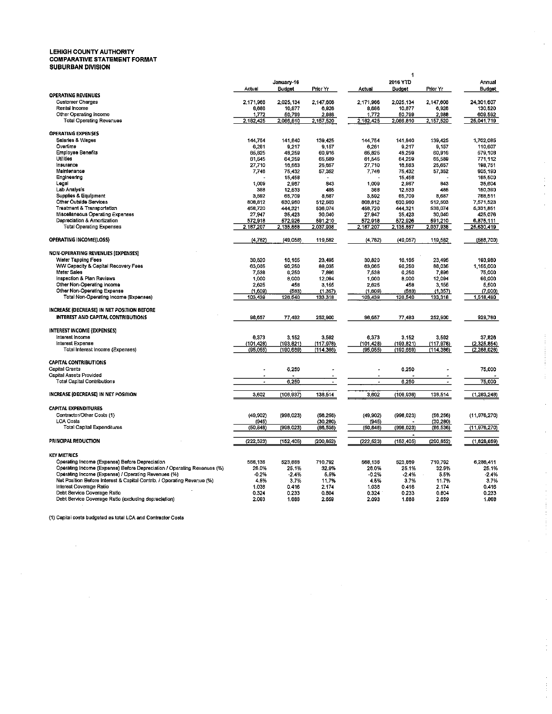# LEHIGH COUNTY AUTHORITY<br>COMPARATIVE STATEMENT FORMAT<br>SUBURBAN DIVISION

|                                                                                                    |                          |                      |                    |                       | 1                   |                          |                       |
|----------------------------------------------------------------------------------------------------|--------------------------|----------------------|--------------------|-----------------------|---------------------|--------------------------|-----------------------|
|                                                                                                    | Actual                   | January-16<br>Budget | Prior Yr           | Actual                | 2016 YTD<br>Budget  | Prior Yr                 | Annual<br>Budget      |
| <b>OPERATING REVENUES</b>                                                                          |                          |                      |                    |                       |                     |                          |                       |
| <b>Customer Charges</b><br>Rental Income                                                           | 2,171,966<br>8,686       | 2,025,134<br>10,877  | 2,147.606<br>6.926 | 2,171,966<br>8,686    | 2,025,134<br>10,877 | 2,147,606<br>6,926       | 24,301,607<br>130,520 |
| Other Operating Income                                                                             | 1.772                    | 50.799               | 2.988              | 1.772                 | 50.799              | 2.988                    | 609.592               |
| <b>Total Operating Revenues</b>                                                                    | 2.182.425                | 2,086,810            | 2,157,520          | 2,182,425             | 2.086.810           | 2,157,520                | 25 041,719            |
| <b>OPERATING EXPENSES</b>                                                                          |                          |                      |                    |                       |                     |                          |                       |
| Salaries & Wages                                                                                   | 144,754                  | 141.840              | 139.425            | 144.754               | 141,840             | 139,425                  | 1,702,085             |
| Overtime                                                                                           | 6,261                    | 9.217                | 9 157              | 6,261                 | 9,217               | 9,157                    | 110,607               |
| <b>Employee Benefits</b><br><b>Utilities</b>                                                       | 65,825<br>61,545         | 48,259<br>64.259     | 60.916<br>65.589   | 65,825<br>61,545      | 48,259<br>64.259    | 60,916<br>65,589         | 579,108<br>771,112    |
| Insurance                                                                                          | 27,710                   | 10,503               | 25,057             | 27,710                | 10,563              | 25,657                   | 198,751               |
| Maintenance                                                                                        | 7,746                    | 75.432               | 57, 352            | 7,746                 | 75,432              | 57,352                   | 905.190               |
| Engineering                                                                                        |                          | 15,458               |                    |                       | 15,458              |                          | 185,500               |
| Legal                                                                                              | 1,009                    | 2,967                | 843                | 1,009                 | 2,967               | 843                      | 35,604                |
| Lab Analysis<br><b>Supplies &amp; Equipment</b>                                                    | 368<br>3,592             | 12,533<br>65,709     | 485<br>8.687       | 368<br>3,592          | 12,533<br>65,709    | 485<br>8,687             | 150,390<br>788,511    |
| Other Outside Services                                                                             | 808,812                  | 630,960              | 512.503            | 808,812               | 630,960             | 512,503                  | 7,571,523             |
| <b>Treatment &amp; Transportation</b>                                                              | 458,720                  | 444.321              | 536.074            | 458,720               | 444,321             | 536,074                  | 5,331,851             |
| Miscellaneous Operating Expenses                                                                   | 27,947                   | 35,423               | 30,040             | 27,947                | 35,423              | 30,040                   | 425.076               |
| Depreciation & Amortization                                                                        | 572,918                  | 572,926              | 591.210            | 572,918               | 572,926             | 591,210                  | 6,875,111             |
| <b>Total Operating Expenses</b>                                                                    | 2,187,207                | 2,135,868            | 2,037,938          | 2,187,207             | 2,135,867           | 2,037,938                | 25,630,419            |
| OPERATING INCOME(LOSS)                                                                             | (4,782)                  | (49,058)             | 119,582            | (4, 762)              | (49,057)            | 119,582                  | (588, 700)            |
| <b>NON-OPERATING REVENUES (EXPENSES)</b>                                                           |                          |                      |                    |                       |                     |                          |                       |
| Water Tapping Fees                                                                                 | 30.820                   | 16.165               | 23.495             | 30.820                | 16,165              | 23,495                   | 193,980               |
| WW Capacity & Capital Recovery Fees                                                                | 63,065                   | 96,250               | 88.035             | 63,065                | 96,250              | 88,035                   | 1,155,000             |
| Meter Sales<br>Inspection & Plan Reviews                                                           | 7,538<br>1,000           | 6,250<br>8,000       | 7,896<br>12,094    | 7.538<br>1,000        | 6,250<br>8,000      | 7,896<br>12,094          | 75,000<br>96,000      |
| Other Non-Operating income                                                                         | 2.625                    | 458                  | 3 155              | 2,625                 | 458                 | 3,155                    | 5,500                 |
| Other Non-Operating Expense                                                                        | (1, 609)                 | (583)                | (1.357)            | (1,609)               | (553)               | (1, 357)                 | (7,000)               |
| Total Non-Operating Income (Expenses)                                                              | 103,439                  | 126,540              | 133.318            | 103,439               | 126,540             | 133,318                  | 1,518,480             |
| INCREASE (DECREASE) IN NET POSITION BEFORE                                                         |                          |                      |                    |                       |                     |                          |                       |
| INTEREST AND CAPITAL CONTRIBUTIONS                                                                 | 98,657                   | 77,482               | 252,900            | 98,657                | 77,483              | 252,900                  | 929,780               |
| INTEREST INCOME (EXPENSES)                                                                         |                          |                      |                    |                       |                     |                          |                       |
| Interest income                                                                                    | 6,373                    | 3,152                | 3,592              | 6,373                 | 3,152               | 3,592                    | 37,826                |
| Interest Expense                                                                                   | (101, 428)               | (193, 821)           | (117, 978)         | (101, 428)            | (193,821)           | (117,978)                | (2.325, 854)          |
| Total Interest Income (Expenses)                                                                   | (95,055)                 | (190,669)            | (114, 386)         | (95,055)              | (190, 669)          | (114, 386)               | (2.288.028)           |
| <b>CAPITAL CONTRIBUTIONS</b><br><b>Capital Grants</b>                                              | L,                       | 6,250                |                    |                       | 6,250               |                          | 75,000                |
| Capital Assets Provided                                                                            |                          |                      |                    |                       |                     |                          |                       |
| <b>Total Capital Contributions</b>                                                                 | $\overline{\phantom{a}}$ | 6,250                | $\blacksquare$     | $\tilde{\phantom{a}}$ | 6,250               | $\overline{\phantom{a}}$ | 75,000                |
| INCREASE (DECREASE) IN NET POSITION                                                                | 3,002                    | (106, 937)           | 138,514            | 3.602                 | (106.936)           | 138,514                  | (1, 283, 248)         |
| <b>CAPITAL EXPENDITURES</b>                                                                        |                          |                      |                    |                       |                     |                          |                       |
| Contractor/Other Costs (1)                                                                         | (49, 902)                | (998, 023)           | (56, 256)          | (49,902)              | (998, 023)          | (56, 256)                | (11, 976, 270)        |
| <b>LCA Costs</b>                                                                                   | (945)                    |                      | (30.280)           | (945)                 |                     | (30, 280)                |                       |
| <b>Total Capital Expenditures</b>                                                                  | (50, 848)                | (998, 023)           | (86, 536)          | (50, 848)             | (998,023)           | (86, 536)                | (11,976,270)          |
| PRINCIPAL REDUCTION                                                                                | (222, 523)               | (152, 405)           | (200, 852)         | (222, 523)            | (152, 405)          | (200, 852)               | (1,828,859)           |
| <b>KEY METRICS</b>                                                                                 |                          |                      |                    |                       |                     |                          |                       |
| Operating Income (Expense) Before Depreciation                                                     | 568.136                  | 523,868              | 710.792            | 568,136               | 523,869             | 710,792                  | 6,286.411             |
| Operating Income (Expense) Before Depreciation / Operating Revenues (%)                            | 26.0%                    | 25.1%                | 32.9%              | 26.0%                 | 25.1%               | 32.9%                    | 25.1%                 |
| Operating Income (Expense) / Operating Revenues (%)                                                | $-0.2%$                  | $-2.4%$              | 5.5%               | $-0.2%$               | $-2.4%$             | 5.5%                     | $-2.4%$               |
| Net Position Before Interest & Capital Contrib. / Operating Revenue (%)<br>Interest Coverage Ratio | 4.5%<br>1.036            | 3.7%<br>0.416        | 11.7%<br>2.174     | 4.5%<br>1.038         | 3.7%<br>0.416       | 11.7%<br>2.174           | 3.7%<br>0.416         |
| Debt Service Coverage Ratio                                                                        | 0.324                    | 0.233                | 0.804              | 0.324                 | 0.233               | 0.804                    | 0.233                 |
| Debt Service Coverage Ratio (excluding depreciation)                                               | 2.093                    | 1.888                | 2.659              | 2.093                 | 1.888               | 2.659                    | 1.888                 |

 $\hat{\mathcal{A}}$  $\mathbb{R}^2$ 

 $\frac{1}{4}$ 

 $\alpha$  ,  $\beta$  , and  $\alpha$  , and  $\alpha$  , and  $\alpha$  , and  $\alpha$  , and  $\alpha$ 

 $\hat{\boldsymbol{\gamma}}$ 

 $\hat{\mathcal{L}}$ 

 $\hat{\mathcal{E}}$ 

 $\hat{\mathcal{L}}$ 

 $\frac{1}{2}$ 

(1) Capital costs budgeted as total LCA and Contractor Costs

 $\sim 10^{11}$ 

 $\sim$ 

 $\sim$   $\sim$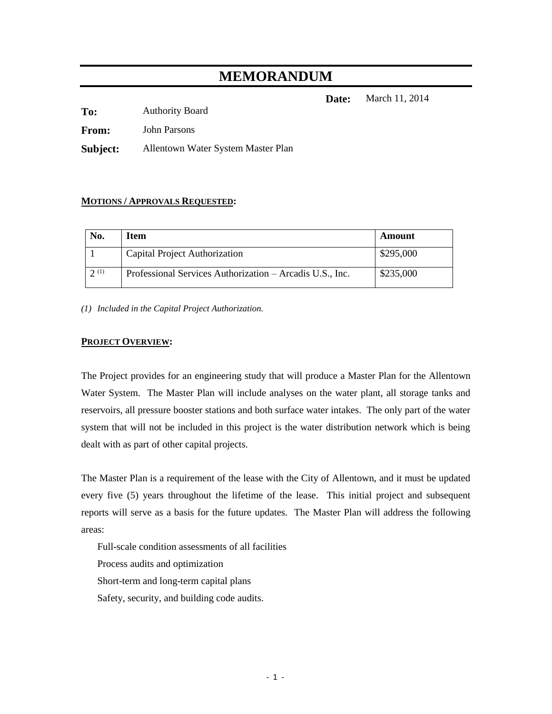# **MEMORANDUM**

**Date:** March 11, 2014

**To:** Authority Board

**From:** John Parsons

**Subject:** Allentown Water System Master Plan

#### **MOTIONS / APPROVALS REQUESTED:**

| No.  | Item                                                     | Amount    |
|------|----------------------------------------------------------|-----------|
|      | Capital Project Authorization                            | \$295,000 |
| 2(1) | Professional Services Authorization – Arcadis U.S., Inc. | \$235,000 |

*(1) Included in the Capital Project Authorization.*

#### **PROJECT OVERVIEW:**

The Project provides for an engineering study that will produce a Master Plan for the Allentown Water System. The Master Plan will include analyses on the water plant, all storage tanks and reservoirs, all pressure booster stations and both surface water intakes. The only part of the water system that will not be included in this project is the water distribution network which is being dealt with as part of other capital projects.

The Master Plan is a requirement of the lease with the City of Allentown, and it must be updated every five (5) years throughout the lifetime of the lease. This initial project and subsequent reports will serve as a basis for the future updates. The Master Plan will address the following areas:

Full-scale condition assessments of all facilities Process audits and optimization Short-term and long-term capital plans Safety, security, and building code audits.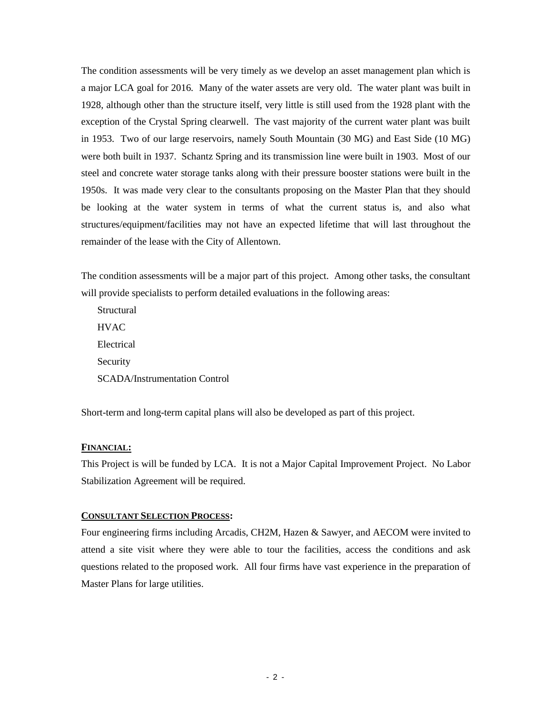The condition assessments will be very timely as we develop an asset management plan which is a major LCA goal for 2016. Many of the water assets are very old. The water plant was built in 1928, although other than the structure itself, very little is still used from the 1928 plant with the exception of the Crystal Spring clearwell. The vast majority of the current water plant was built in 1953. Two of our large reservoirs, namely South Mountain (30 MG) and East Side (10 MG) were both built in 1937. Schantz Spring and its transmission line were built in 1903. Most of our steel and concrete water storage tanks along with their pressure booster stations were built in the 1950s. It was made very clear to the consultants proposing on the Master Plan that they should be looking at the water system in terms of what the current status is, and also what structures/equipment/facilities may not have an expected lifetime that will last throughout the remainder of the lease with the City of Allentown.

The condition assessments will be a major part of this project. Among other tasks, the consultant will provide specialists to perform detailed evaluations in the following areas:

Structural **HVAC** Electrical Security SCADA/Instrumentation Control

Short-term and long-term capital plans will also be developed as part of this project.

#### **FINANCIAL:**

This Project is will be funded by LCA. It is not a Major Capital Improvement Project. No Labor Stabilization Agreement will be required.

#### **CONSULTANT SELECTION PROCESS:**

Four engineering firms including Arcadis, CH2M, Hazen & Sawyer, and AECOM were invited to attend a site visit where they were able to tour the facilities, access the conditions and ask questions related to the proposed work. All four firms have vast experience in the preparation of Master Plans for large utilities.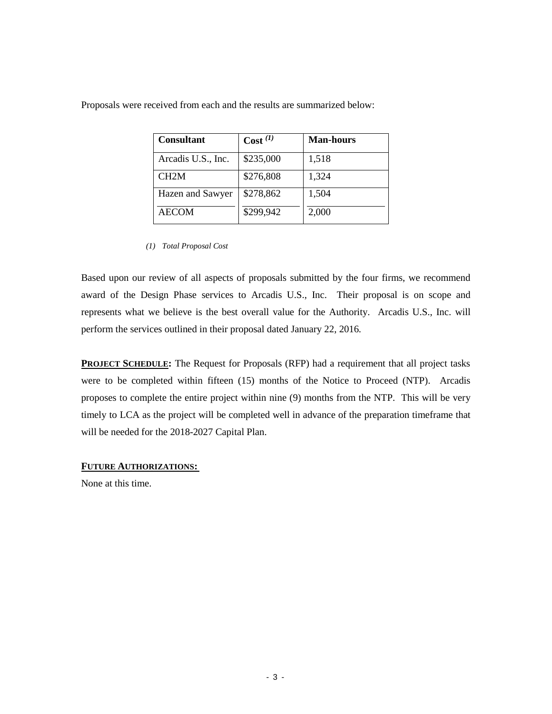| <b>Consultant</b>  | Cost <sup>(1)</sup> | <b>Man-hours</b> |
|--------------------|---------------------|------------------|
| Arcadis U.S., Inc. | \$235,000           | 1,518            |
| CH2M               | \$276,808           | 1,324            |
| Hazen and Sawyer   | \$278,862           | 1,504            |
| AECOM              | \$299,942           | 2,000            |

Proposals were received from each and the results are summarized below:

Based upon our review of all aspects of proposals submitted by the four firms, we recommend award of the Design Phase services to Arcadis U.S., Inc. Their proposal is on scope and represents what we believe is the best overall value for the Authority. Arcadis U.S., Inc. will perform the services outlined in their proposal dated January 22, 2016*.* 

**PROJECT SCHEDULE:** The Request for Proposals (RFP) had a requirement that all project tasks were to be completed within fifteen (15) months of the Notice to Proceed (NTP). Arcadis proposes to complete the entire project within nine (9) months from the NTP. This will be very timely to LCA as the project will be completed well in advance of the preparation timeframe that will be needed for the 2018-2027 Capital Plan.

#### **FUTURE AUTHORIZATIONS:**

None at this time.

*<sup>(1)</sup> Total Proposal Cost*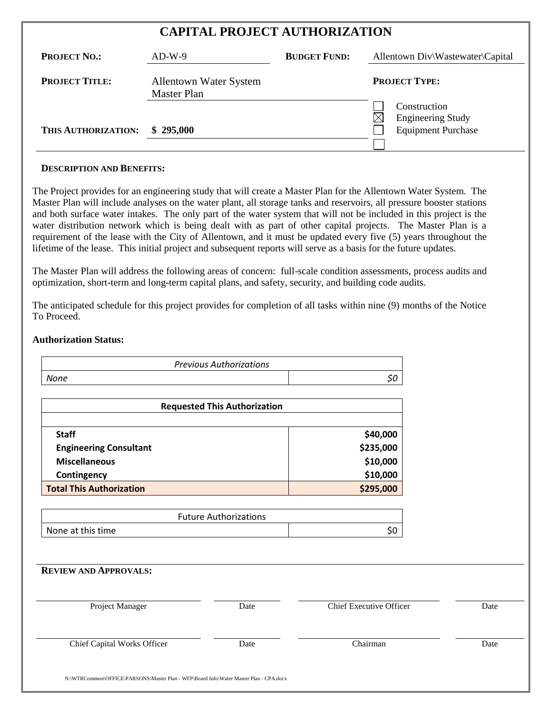| <b>CAPITAL PROJECT AUTHORIZATION</b> |                                                     |                     |                                                                       |  |
|--------------------------------------|-----------------------------------------------------|---------------------|-----------------------------------------------------------------------|--|
| <b>PROJECT NO.:</b>                  | $AD-W-9$                                            | <b>BUDGET FUND:</b> | Allentown Div\Wastewater\Capital                                      |  |
| <b>PROJECT TITLE:</b>                | <b>Allentown Water System</b><br><b>Master Plan</b> |                     | <b>PROJECT TYPE:</b>                                                  |  |
| THIS AUTHORIZATION:                  | \$295,000                                           |                     | Construction<br><b>Engineering Study</b><br><b>Equipment Purchase</b> |  |
|                                      |                                                     |                     |                                                                       |  |

#### **DESCRIPTION AND BENEFITS:**

The Project provides for an engineering study that will create a Master Plan for the Allentown Water System. The Master Plan will include analyses on the water plant, all storage tanks and reservoirs, all pressure booster stations and both surface water intakes. The only part of the water system that will not be included in this project is the water distribution network which is being dealt with as part of other capital projects. The Master Plan is a requirement of the lease with the City of Allentown, and it must be updated every five (5) years throughout the lifetime of the lease. This initial project and subsequent reports will serve as a basis for the future updates.

The Master Plan will address the following areas of concern: full-scale condition assessments, process audits and optimization, short-term and long-term capital plans, and safety, security, and building code audits.

The anticipated schedule for this project provides for completion of all tasks within nine (9) months of the Notice To Proceed.

#### **Authorization Status:**

| <b>Previous Authorizations</b> |  |
|--------------------------------|--|
| None                           |  |

| <b>Requested This Authorization</b> |           |
|-------------------------------------|-----------|
| <b>Staff</b>                        | \$40,000  |
| <b>Engineering Consultant</b>       | \$235,000 |
| <b>Miscellaneous</b>                | \$10,000  |
| Contingency                         | \$10,000  |
| <b>Total This Authorization</b>     | \$295,000 |

| <b>Future Authorizations</b> |  |
|------------------------------|--|
| None at this time            |  |

| <b>REVIEW AND APPROVALS:</b> |      |                                |      |
|------------------------------|------|--------------------------------|------|
| Project Manager              | Date | <b>Chief Executive Officer</b> | Date |
| Chief Capital Works Officer  | Date | Chairman                       | Date |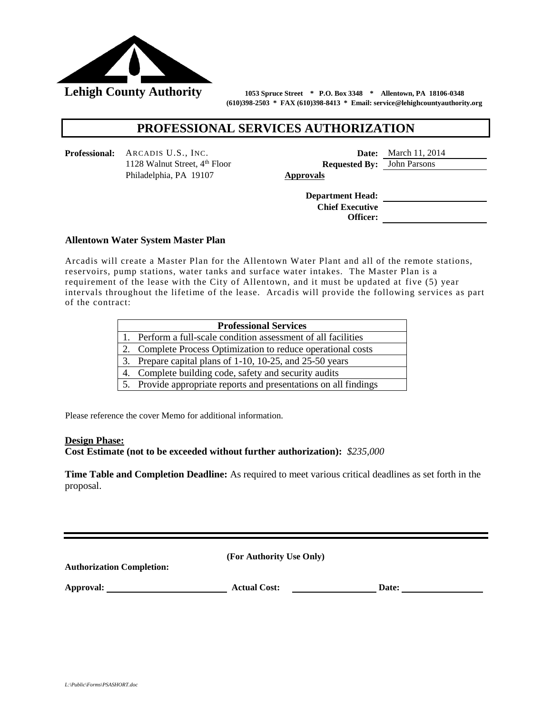

 **(610)398-2503 \* FAX (610)398-8413 \* Email: service@lehighcountyauthority.org**

# **PROFESSIONAL SERVICES AUTHORIZATION**

**Professional:** ARCADIS U.S., INC. **Date:** March 11, 2014 Philadelphia, PA 19107 **Approvals**

1128 Walnut Street, 4th Floor **Requested By:** John Parsons

**Department Head: Chief Executive Officer:**

#### **Allentown Water System Master Plan**

**Arcadis will create a Master Plan for the Allentown Water Plant and all of the remote stations,** reservoirs, pump stations, water tanks and surface water intakes. The Master Plan is a requirement of the lease with the City of Allentown, and it must be updated at five (5) year intervals throughout the lifetime of the lease. Arcadis will provide the following services as part of the contract:

| <b>Professional Services</b>                                     |  |  |  |  |
|------------------------------------------------------------------|--|--|--|--|
| 1. Perform a full-scale condition assessment of all facilities   |  |  |  |  |
| 2. Complete Process Optimization to reduce operational costs     |  |  |  |  |
| 3. Prepare capital plans of 1-10, 10-25, and 25-50 years         |  |  |  |  |
| 4. Complete building code, safety and security audits            |  |  |  |  |
| 5. Provide appropriate reports and presentations on all findings |  |  |  |  |

Please reference the cover Memo for additional information.

#### **Design Phase:**

**Cost Estimate (not to be exceeded without further authorization):** *\$235,000*

**Time Table and Completion Deadline:** As required to meet various critical deadlines as set forth in the proposal.

**(For Authority Use Only) Authorization Completion: Approval: Actual Cost: Date:**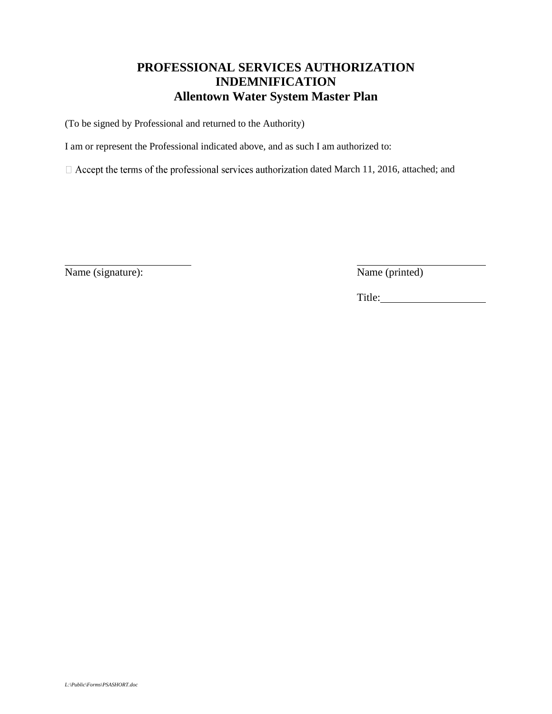# **PROFESSIONAL SERVICES AUTHORIZATION INDEMNIFICATION Allentown Water System Master Plan**

(To be signed by Professional and returned to the Authority)

I am or represent the Professional indicated above, and as such I am authorized to:

 $\Box$  Accept the terms of the professional services authorization dated March 11, 2016, attached; and

Name (signature): Name (printed)

l

Title: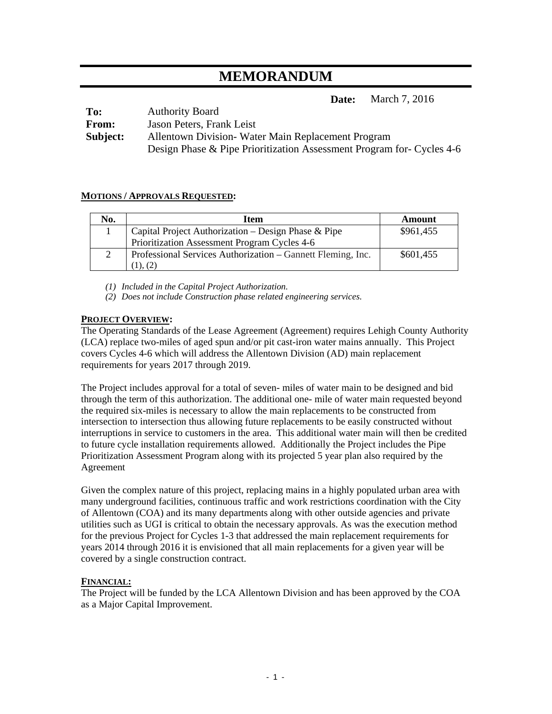# **MEMORANDUM**

**Date:** March 7, 2016

| To:          | <b>Authority Board</b>                                                |
|--------------|-----------------------------------------------------------------------|
| <b>From:</b> | Jason Peters, Frank Leist                                             |
| Subject:     | Allentown Division - Water Main Replacement Program                   |
|              | Design Phase & Pipe Prioritization Assessment Program for- Cycles 4-6 |

#### **MOTIONS / APPROVALS REQUESTED:**

| No.           | Item                                                        | Amount    |
|---------------|-------------------------------------------------------------|-----------|
|               | Capital Project Authorization – Design Phase & Pipe         | \$961,455 |
|               | Prioritization Assessment Program Cycles 4-6                |           |
| $\mathcal{D}$ | Professional Services Authorization – Gannett Fleming, Inc. | \$601,455 |
|               |                                                             |           |

*(1) Included in the Capital Project Authorization.* 

*(2) Does not include Construction phase related engineering services.* 

#### **PROJECT OVERVIEW:**

The Operating Standards of the Lease Agreement (Agreement) requires Lehigh County Authority (LCA) replace two-miles of aged spun and/or pit cast-iron water mains annually. This Project covers Cycles 4-6 which will address the Allentown Division (AD) main replacement requirements for years 2017 through 2019.

The Project includes approval for a total of seven- miles of water main to be designed and bid through the term of this authorization. The additional one- mile of water main requested beyond the required six-miles is necessary to allow the main replacements to be constructed from intersection to intersection thus allowing future replacements to be easily constructed without interruptions in service to customers in the area. This additional water main will then be credited to future cycle installation requirements allowed. Additionally the Project includes the Pipe Prioritization Assessment Program along with its projected 5 year plan also required by the Agreement

Given the complex nature of this project, replacing mains in a highly populated urban area with many underground facilities, continuous traffic and work restrictions coordination with the City of Allentown (COA) and its many departments along with other outside agencies and private utilities such as UGI is critical to obtain the necessary approvals. As was the execution method for the previous Project for Cycles 1-3 that addressed the main replacement requirements for years 2014 through 2016 it is envisioned that all main replacements for a given year will be covered by a single construction contract.

#### **FINANCIAL:**

The Project will be funded by the LCA Allentown Division and has been approved by the COA as a Major Capital Improvement.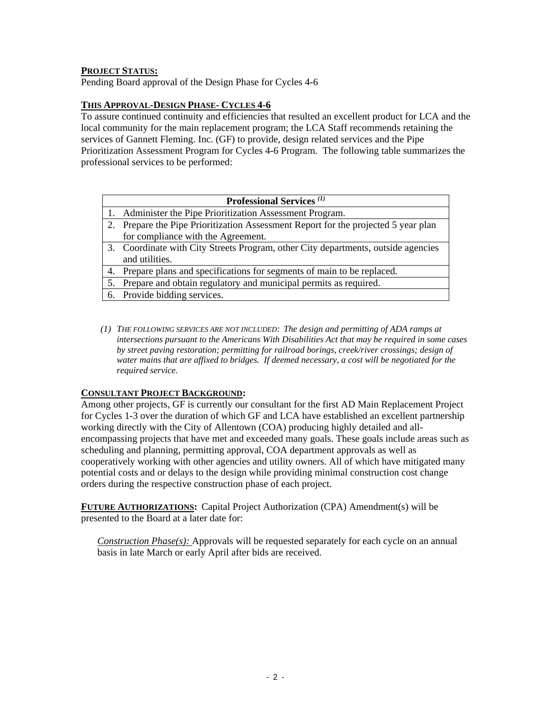#### **PROJECT STATUS:**

Pending Board approval of the Design Phase for Cycles 4-6

#### **THIS APPROVAL-DESIGN PHASE- CYCLES 4-6**

To assure continued continuity and efficiencies that resulted an excellent product for LCA and the local community for the main replacement program; the LCA Staff recommends retaining the services of Gannett Fleming. Inc. (GF) to provide, design related services and the Pipe Prioritization Assessment Program for Cycles 4-6 Program. The following table summarizes the professional services to be performed:

| <b>Professional Services</b> (1)                                                   |
|------------------------------------------------------------------------------------|
| 1. Administer the Pipe Prioritization Assessment Program.                          |
| 2. Prepare the Pipe Prioritization Assessment Report for the projected 5 year plan |
| for compliance with the Agreement.                                                 |
| 3. Coordinate with City Streets Program, other City departments, outside agencies  |
| and utilities.                                                                     |
| 4. Prepare plans and specifications for segments of main to be replaced.           |
| 5. Prepare and obtain regulatory and municipal permits as required.                |
| 6. Provide bidding services.                                                       |

*(1) THE FOLLOWING SERVICES ARE NOT INCLUDED: The design and permitting of ADA ramps at intersections pursuant to the Americans With Disabilities Act that may be required in some cases by street paving restoration; permitting for railroad borings, creek/river crossings; design of water mains that are affixed to bridges. If deemed necessary, a cost will be negotiated for the required service.* 

#### **CONSULTANT PROJECT BACKGROUND:**

Among other projects, GF is currently our consultant for the first AD Main Replacement Project for Cycles 1-3 over the duration of which GF and LCA have established an excellent partnership working directly with the City of Allentown (COA) producing highly detailed and allencompassing projects that have met and exceeded many goals. These goals include areas such as scheduling and planning, permitting approval, COA department approvals as well as cooperatively working with other agencies and utility owners. All of which have mitigated many potential costs and or delays to the design while providing minimal construction cost change orders during the respective construction phase of each project.

**FUTURE AUTHORIZATIONS:** Capital Project Authorization (CPA) Amendment(s) will be presented to the Board at a later date for:

*Construction Phase(s):* Approvals will be requested separately for each cycle on an annual basis in late March or early April after bids are received.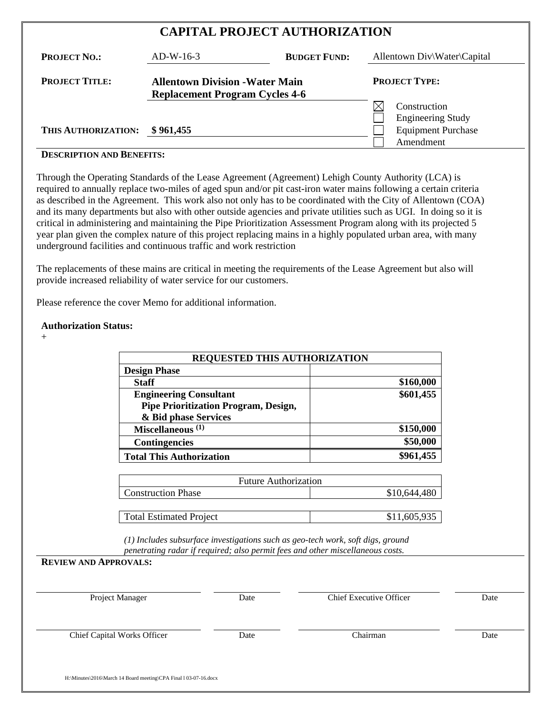| <b>CAPITAL PROJECT AUTHORIZATION</b> |  |
|--------------------------------------|--|
|--------------------------------------|--|

| <b>PROJECT NO.:</b>   | $AD-W-16-3$                                                                     | <b>BUDGET FUND:</b> | Allentown Div\Water\Capital |
|-----------------------|---------------------------------------------------------------------------------|---------------------|-----------------------------|
| <b>PROJECT TITLE:</b> | <b>Allentown Division - Water Main</b><br><b>Replacement Program Cycles 4-6</b> |                     | <b>PROJECT TYPE:</b>        |
|                       |                                                                                 |                     | Construction                |
|                       |                                                                                 |                     | <b>Engineering Study</b>    |
| THIS AUTHORIZATION:   | \$961,455                                                                       |                     | <b>Equipment Purchase</b>   |
|                       |                                                                                 |                     | Amendment                   |

#### **DESCRIPTION AND BENEFITS:**

Through the Operating Standards of the Lease Agreement (Agreement) Lehigh County Authority (LCA) is required to annually replace two-miles of aged spun and/or pit cast-iron water mains following a certain criteria as described in the Agreement. This work also not only has to be coordinated with the City of Allentown (COA) and its many departments but also with other outside agencies and private utilities such as UGI. In doing so it is critical in administering and maintaining the Pipe Prioritization Assessment Program along with its projected 5 year plan given the complex nature of this project replacing mains in a highly populated urban area, with many underground facilities and continuous traffic and work restriction

The replacements of these mains are critical in meeting the requirements of the Lease Agreement but also will provide increased reliability of water service for our customers.

Please reference the cover Memo for additional information.

#### **Authorization Status:**

 $+$ 

| <b>REQUESTED THIS AUTHORIZATION</b>                                                                                                                                                               |              |
|---------------------------------------------------------------------------------------------------------------------------------------------------------------------------------------------------|--------------|
| <b>Design Phase</b>                                                                                                                                                                               |              |
| <b>Staff</b>                                                                                                                                                                                      | \$160,000    |
| <b>Engineering Consultant</b>                                                                                                                                                                     | \$601,455    |
| <b>Pipe Prioritization Program, Design,</b><br>& Bid phase Services                                                                                                                               |              |
| Miscellaneous <sup>(1)</sup>                                                                                                                                                                      | \$150,000    |
| <b>Contingencies</b>                                                                                                                                                                              | \$50,000     |
| <b>Total This Authorization</b>                                                                                                                                                                   | \$961,455    |
|                                                                                                                                                                                                   |              |
| <b>Future Authorization</b>                                                                                                                                                                       |              |
| <b>Construction Phase</b>                                                                                                                                                                         | \$10,644,480 |
|                                                                                                                                                                                                   |              |
| <b>Total Estimated Project</b>                                                                                                                                                                    | \$11,605,935 |
| (1) Includes subsurface investigations such as geo-tech work, soft digs, ground<br>penetrating radar if required; also permit fees and other miscellaneous costs.<br><b>REVIEW AND APPROVALS:</b> |              |
|                                                                                                                                                                                                   |              |

| Project Manager                    | Date | Chief Executive Officer | Date |
|------------------------------------|------|-------------------------|------|
| <b>Chief Capital Works Officer</b> | Date | Chairman                | Date |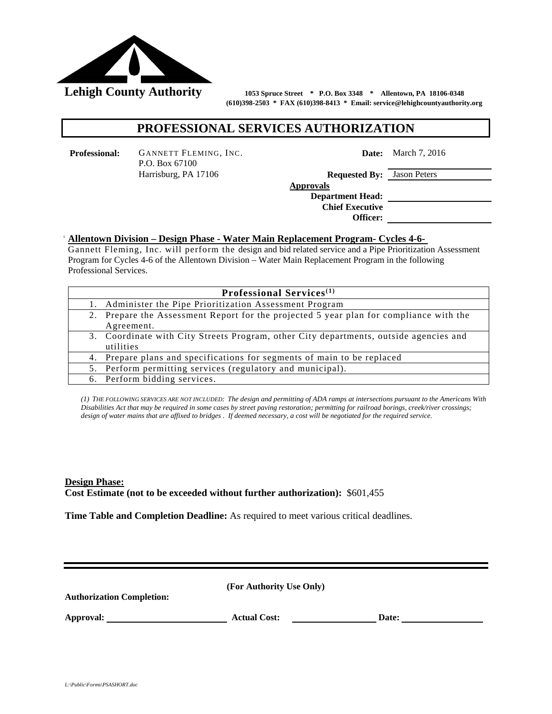

 **(610)398-2503 \* FAX (610)398-8413 \* Email: service@lehighcountyauthority.org** 

# **PROFESSIONAL SERVICES AUTHORIZATION**

**Professional:** GANNETT FLEMING, INC. P.O. Box 67100 Harrisburg, PA 17106 **Requested By:** Jason Peters

**Date:** March 7, 2016

 **Approvals Department Head: Chief Executive Officer:** 

#### **Allentown Division – Design Phase - Water Main Replacement Program- Cycles 4-6-**

Dannett Preming, the will perform the aesign and old related service and a Fipe Fiornization As Gannett Fleming, Inc. will perform the design and bid related service and a Pipe Prioritization Assessment Professional Services.

| <b>Professional Services</b> <sup>(1)</sup>                                            |
|----------------------------------------------------------------------------------------|
| 1. Administer the Pipe Prioritization Assessment Program                               |
| 2. Prepare the Assessment Report for the projected 5 year plan for compliance with the |
| Agreement.                                                                             |
| 3. Coordinate with City Streets Program, other City departments, outside agencies and  |
| utilities                                                                              |
| 4. Prepare plans and specifications for segments of main to be replaced                |
| 5. Perform permitting services (regulatory and municipal).                             |
| 6. Perform bidding services.                                                           |

*(1) THE FOLLOWING SERVICES ARE NOT INCLUDED: The design and permitting of ADA ramps at intersections pursuant to the Americans With Disabilities Act that may be required in some cases by street paving restoration; permitting for railroad borings, creek/river crossings; design of water mains that are affixed to bridges . If deemed necessary, a cost will be negotiated for the required service.*

**Design Phase: Cost Estimate (not to be exceeded without further authorization):** \$601,455

**Time Table and Completion Deadline:** As required to meet various critical deadlines.

**Authorization Completion:** 

Approval: <u>New York: Actual Cost:</u> 2014 **Date:** 2014 **Date:** 2014 **Date:** 2014 **Date:** 2014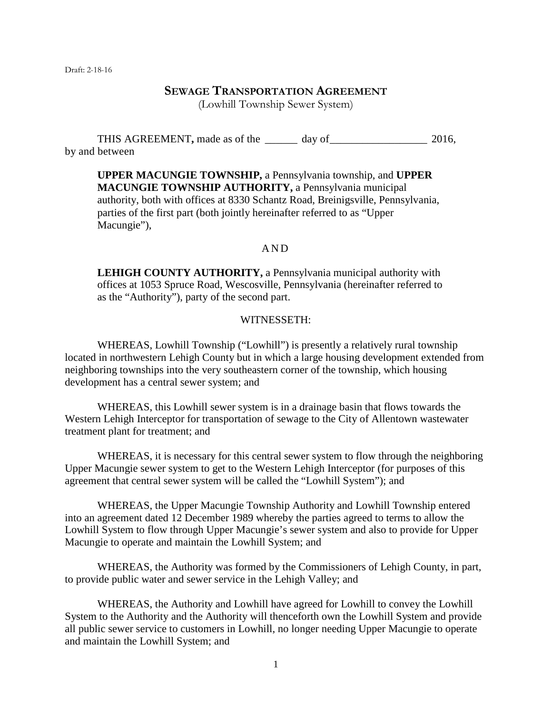# **SEWAGE TRANSPORTATION AGREEMENT**

(Lowhill Township Sewer System)

THIS AGREEMENT, made as of the day of  $\frac{1}{2016}$ , by and between

**UPPER MACUNGIE TOWNSHIP,** a Pennsylvania township, and **UPPER MACUNGIE TOWNSHIP AUTHORITY,** a Pennsylvania municipal authority, both with offices at 8330 Schantz Road, Breinigsville, Pennsylvania, parties of the first part (both jointly hereinafter referred to as "Upper Macungie"),

#### AND

**LEHIGH COUNTY AUTHORITY,** a Pennsylvania municipal authority with offices at 1053 Spruce Road, Wescosville, Pennsylvania (hereinafter referred to as the "Authority"), party of the second part.

#### WITNESSETH:

WHEREAS, Lowhill Township ("Lowhill") is presently a relatively rural township located in northwestern Lehigh County but in which a large housing development extended from neighboring townships into the very southeastern corner of the township, which housing development has a central sewer system; and

WHEREAS, this Lowhill sewer system is in a drainage basin that flows towards the Western Lehigh Interceptor for transportation of sewage to the City of Allentown wastewater treatment plant for treatment; and

WHEREAS, it is necessary for this central sewer system to flow through the neighboring Upper Macungie sewer system to get to the Western Lehigh Interceptor (for purposes of this agreement that central sewer system will be called the "Lowhill System"); and

WHEREAS, the Upper Macungie Township Authority and Lowhill Township entered into an agreement dated 12 December 1989 whereby the parties agreed to terms to allow the Lowhill System to flow through Upper Macungie's sewer system and also to provide for Upper Macungie to operate and maintain the Lowhill System; and

WHEREAS, the Authority was formed by the Commissioners of Lehigh County, in part, to provide public water and sewer service in the Lehigh Valley; and

WHEREAS, the Authority and Lowhill have agreed for Lowhill to convey the Lowhill System to the Authority and the Authority will thenceforth own the Lowhill System and provide all public sewer service to customers in Lowhill, no longer needing Upper Macungie to operate and maintain the Lowhill System; and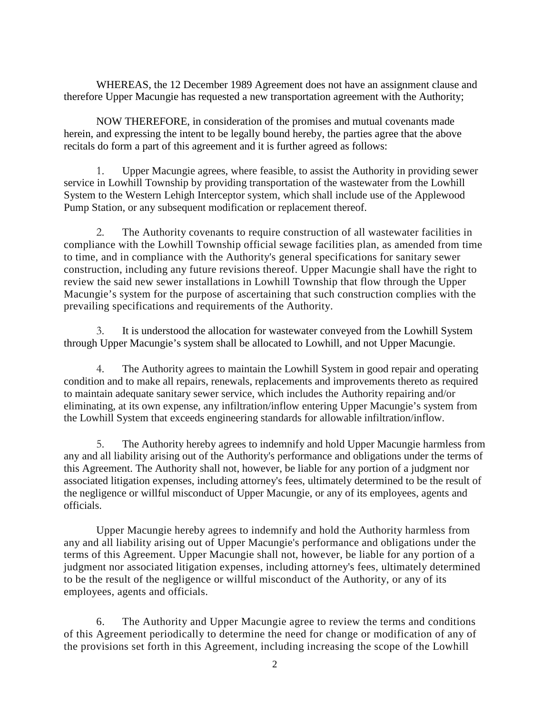WHEREAS, the 12 December 1989 Agreement does not have an assignment clause and therefore Upper Macungie has requested a new transportation agreement with the Authority;

NOW THEREFORE, in consideration of the promises and mutual covenants made herein, and expressing the intent to be legally bound hereby, the parties agree that the above recitals do form a part of this agreement and it is further agreed as follows:

1. Upper Macungie agrees, where feasible, to assist the Authority in providing sewer service in Lowhill Township by providing transportation of the wastewater from the Lowhill System to the Western Lehigh Interceptor system, which shall include use of the Applewood Pump Station, or any subsequent modification or replacement thereof.

2. The Authority covenants to require construction of all wastewater facilities in compliance with the Lowhill Township official sewage facilities plan, as amended from time to time, and in compliance with the Authority's general specifications for sanitary sewer construction, including any future revisions thereof. Upper Macungie shall have the right to review the said new sewer installations in Lowhill Township that flow through the Upper Macungie's system for the purpose of ascertaining that such construction complies with the prevailing specifications and requirements of the Authority.

3. It is understood the allocation for wastewater conveyed from the Lowhill System through Upper Macungie's system shall be allocated to Lowhill, and not Upper Macungie.

4. The Authority agrees to maintain the Lowhill System in good repair and operating condition and to make all repairs, renewals, replacements and improvements thereto as required to maintain adequate sanitary sewer service, which includes the Authority repairing and/or eliminating, at its own expense, any infiltration/inflow entering Upper Macungie's system from the Lowhill System that exceeds engineering standards for allowable infiltration/inflow.

5. The Authority hereby agrees to indemnify and hold Upper Macungie harmless from any and all liability arising out of the Authority's performance and obligations under the terms of this Agreement. The Authority shall not, however, be liable for any portion of a judgment nor associated litigation expenses, including attorney's fees, ultimately determined to be the result of the negligence or willful misconduct of Upper Macungie, or any of its employees, agents and officials.

Upper Macungie hereby agrees to indemnify and hold the Authority harmless from any and all liability arising out of Upper Macungie's performance and obligations under the terms of this Agreement. Upper Macungie shall not, however, be liable for any portion of a judgment nor associated litigation expenses, including attorney's fees, ultimately determined to be the result of the negligence or willful misconduct of the Authority, or any of its employees, agents and officials.

6. The Authority and Upper Macungie agree to review the terms and conditions of this Agreement periodically to determine the need for change or modification of any of the provisions set forth in this Agreement, including increasing the scope of the Lowhill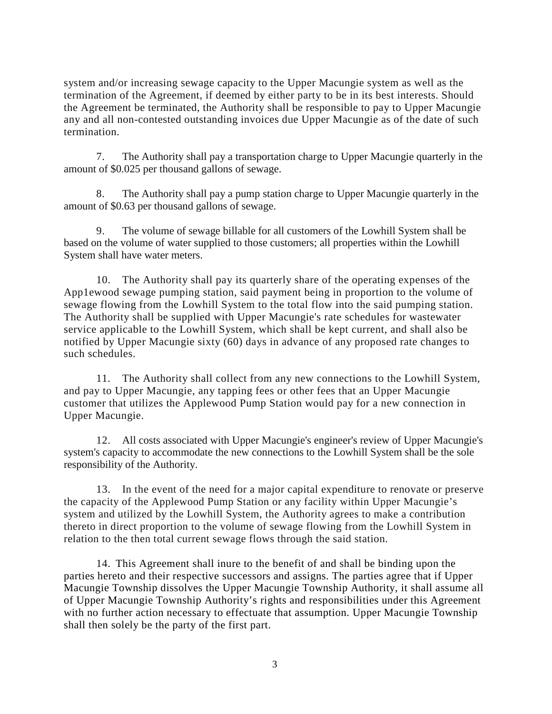system and/or increasing sewage capacity to the Upper Macungie system as well as the termination of the Agreement, if deemed by either party to be in its best interests. Should the Agreement be terminated, the Authority shall be responsible to pay to Upper Macungie any and all non-contested outstanding invoices due Upper Macungie as of the date of such termination.

7. The Authority shall pay a transportation charge to Upper Macungie quarterly in the amount of \$0.025 per thousand gallons of sewage.

8. The Authority shall pay a pump station charge to Upper Macungie quarterly in the amount of \$0.63 per thousand gallons of sewage.

9. The volume of sewage billable for all customers of the Lowhill System shall be based on the volume of water supplied to those customers; all properties within the Lowhill System shall have water meters.

10. The Authority shall pay its quarterly share of the operating expenses of the App1ewood sewage pumping station, said payment being in proportion to the volume of sewage flowing from the Lowhill System to the total flow into the said pumping station. The Authority shall be supplied with Upper Macungie's rate schedules for wastewater service applicable to the Lowhill System, which shall be kept current, and shall also be notified by Upper Macungie sixty (60) days in advance of any proposed rate changes to such schedules.

11. The Authority shall collect from any new connections to the Lowhill System, and pay to Upper Macungie, any tapping fees or other fees that an Upper Macungie customer that utilizes the Applewood Pump Station would pay for a new connection in Upper Macungie.

12. All costs associated with Upper Macungie's engineer's review of Upper Macungie's system's capacity to accommodate the new connections to the Lowhill System shall be the sole responsibility of the Authority.

13. In the event of the need for a major capital expenditure to renovate or preserve the capacity of the Applewood Pump Station or any facility within Upper Macungie's system and utilized by the Lowhill System, the Authority agrees to make a contribution thereto in direct proportion to the volume of sewage flowing from the Lowhill System in relation to the then total current sewage flows through the said station.

14. This Agreement shall inure to the benefit of and shall be binding upon the parties hereto and their respective successors and assigns. The parties agree that if Upper Macungie Township dissolves the Upper Macungie Township Authority, it shall assume all of Upper Macungie Township Authority's rights and responsibilities under this Agreement with no further action necessary to effectuate that assumption. Upper Macungie Township shall then solely be the party of the first part.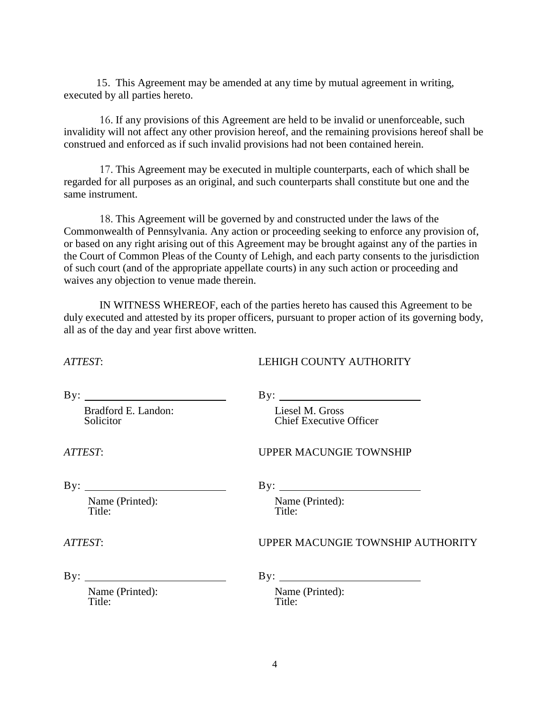15. This Agreement may be amended at any time by mutual agreement in writing, executed by all parties hereto.

16. If any provisions of this Agreement are held to be invalid or unenforceable, such invalidity will not affect any other provision hereof, and the remaining provisions hereof shall be construed and enforced as if such invalid provisions had not been contained herein.

17. This Agreement may be executed in multiple counterparts, each of which shall be regarded for all purposes as an original, and such counterparts shall constitute but one and the same instrument.

18. This Agreement will be governed by and constructed under the laws of the Commonwealth of Pennsylvania. Any action or proceeding seeking to enforce any provision of, or based on any right arising out of this Agreement may be brought against any of the parties in the Court of Common Pleas of the County of Lehigh, and each party consents to the jurisdiction of such court (and of the appropriate appellate courts) in any such action or proceeding and waives any objection to venue made therein.

IN WITNESS WHEREOF, each of the parties hereto has caused this Agreement to be duly executed and attested by its proper officers, pursuant to proper action of its governing body, all as of the day and year first above written.

| ATTEST:                          | LEHIGH COUNTY AUTHORITY                           |
|----------------------------------|---------------------------------------------------|
| By: $\qquad \qquad$              |                                                   |
| Bradford E. Landon:<br>Solicitor | Liesel M. Gross<br><b>Chief Executive Officer</b> |
| ATTEST:                          | <b>UPPER MACUNGIE TOWNSHIP</b>                    |
| By: $\qquad \qquad$              | $\mathbf{By:}$                                    |
| Name (Printed):<br>Title:        | Name (Printed):<br>Title:                         |
| ATTEST:                          | <b>UPPER MACUNGIE TOWNSHIP AUTHORITY</b>          |
| $\mathbf{By:}$                   | $\mathbf{By:}$                                    |
| Name (Printed):<br>Title:        | Name (Printed):<br>Title:                         |
|                                  |                                                   |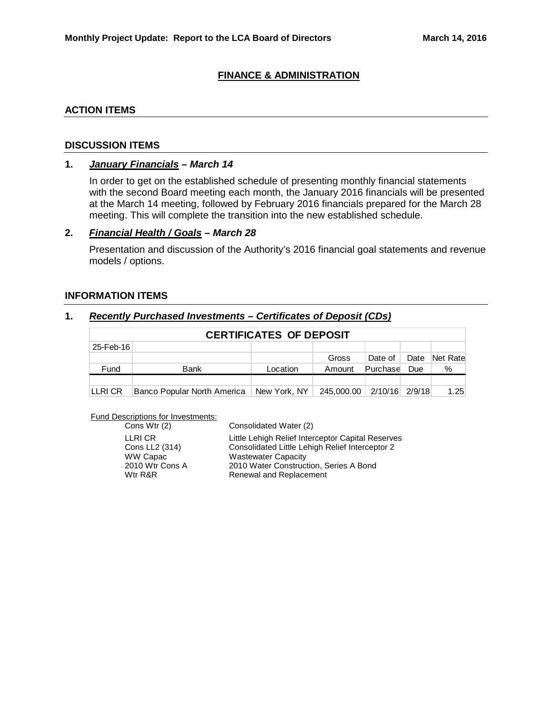#### **FINANCE & ADMINISTRATION**

#### **ACTION ITEMS**

#### **DISCUSSION ITEMS**

#### **1.** *January Financials – March 14*

In order to get on the established schedule of presenting monthly financial statements with the second Board meeting each month, the January 2016 financials will be presented at the March 14 meeting, followed by February 2016 financials prepared for the March 28 meeting. This will complete the transition into the new established schedule.

#### **2.** *Financial Health / Goals – March 28*

Presentation and discussion of the Authority's 2016 financial goal statements and revenue models / options.

#### **INFORMATION ITEMS**

#### **1.** *Recently Purchased Investments – Certificates of Deposit (CDs)*

| <b>CERTIFICATES OF DEPOSIT</b> |                             |              |            |                |      |          |
|--------------------------------|-----------------------------|--------------|------------|----------------|------|----------|
| 25-Feb-16                      |                             |              |            |                |      |          |
|                                |                             |              | Gross      | Date of        | Date | Net Rate |
| Fund                           | <b>Bank</b>                 | Location     | Amount     | Purchase       | Due  | %        |
|                                |                             |              |            |                |      |          |
| LLRI CR                        | Banco Popular North America | New York, NY | 245,000.00 | 2/10/16 2/9/18 |      | 1.25     |

Fund Descriptions for Investments:

| Cons Wtr (2)    |
|-----------------|
| LLRI CR         |
| Cons LL2 (314)  |
| WW Capac        |
| 2010 Wtr Cons A |
| Wtr R&R         |

Consolidated Water (2) Little Lehigh Relief Interceptor Capital Reserves Consolidated Little Lehigh Relief Interceptor 2 **Wastewater Capacity** 2010 Water Construction, Series A Bond Renewal and Replacement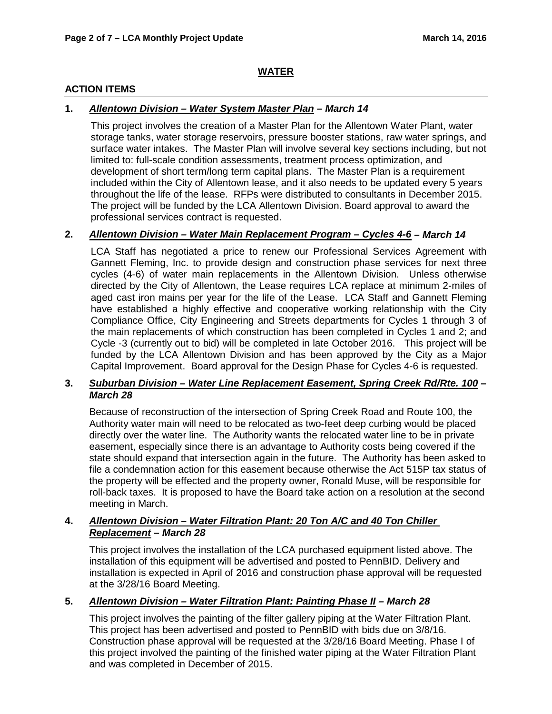# **WATER**

## **ACTION ITEMS**

## **1.** *Allentown Division – Water System Master Plan – March 14*

This project involves the creation of a Master Plan for the Allentown Water Plant, water storage tanks, water storage reservoirs, pressure booster stations, raw water springs, and surface water intakes. The Master Plan will involve several key sections including, but not limited to: full-scale condition assessments, treatment process optimization, and development of short term/long term capital plans. The Master Plan is a requirement included within the City of Allentown lease, and it also needs to be updated every 5 years throughout the life of the lease. RFPs were distributed to consultants in December 2015. The project will be funded by the LCA Allentown Division. Board approval to award the professional services contract is requested.

# **2.** *Allentown Division – Water Main Replacement Program – Cycles 4-6 – March 14*

LCA Staff has negotiated a price to renew our Professional Services Agreement with Gannett Fleming, Inc. to provide design and construction phase services for next three cycles (4-6) of water main replacements in the Allentown Division. Unless otherwise directed by the City of Allentown, the Lease requires LCA replace at minimum 2-miles of aged cast iron mains per year for the life of the Lease. LCA Staff and Gannett Fleming have established a highly effective and cooperative working relationship with the City Compliance Office, City Engineering and Streets departments for Cycles 1 through 3 of the main replacements of which construction has been completed in Cycles 1 and 2; and Cycle -3 (currently out to bid) will be completed in late October 2016. This project will be funded by the LCA Allentown Division and has been approved by the City as a Major Capital Improvement. Board approval for the Design Phase for Cycles 4-6 is requested.

# **3.** *Suburban Division – Water Line Replacement Easement, Spring Creek Rd/Rte. 100 – March 28*

Because of reconstruction of the intersection of Spring Creek Road and Route 100, the Authority water main will need to be relocated as two-feet deep curbing would be placed directly over the water line. The Authority wants the relocated water line to be in private easement, especially since there is an advantage to Authority costs being covered if the state should expand that intersection again in the future. The Authority has been asked to file a condemnation action for this easement because otherwise the Act 515P tax status of the property will be effected and the property owner, Ronald Muse, will be responsible for roll-back taxes. It is proposed to have the Board take action on a resolution at the second meeting in March.

#### **4.** *Allentown Division – Water Filtration Plant: 20 Ton A/C and 40 Ton Chiller Replacement – March 28*

This project involves the installation of the LCA purchased equipment listed above. The installation of this equipment will be advertised and posted to PennBID. Delivery and installation is expected in April of 2016 and construction phase approval will be requested at the 3/28/16 Board Meeting.

# **5.** *Allentown Division – Water Filtration Plant: Painting Phase II – March 28*

This project involves the painting of the filter gallery piping at the Water Filtration Plant. This project has been advertised and posted to PennBID with bids due on 3/8/16. Construction phase approval will be requested at the 3/28/16 Board Meeting. Phase I of this project involved the painting of the finished water piping at the Water Filtration Plant and was completed in December of 2015.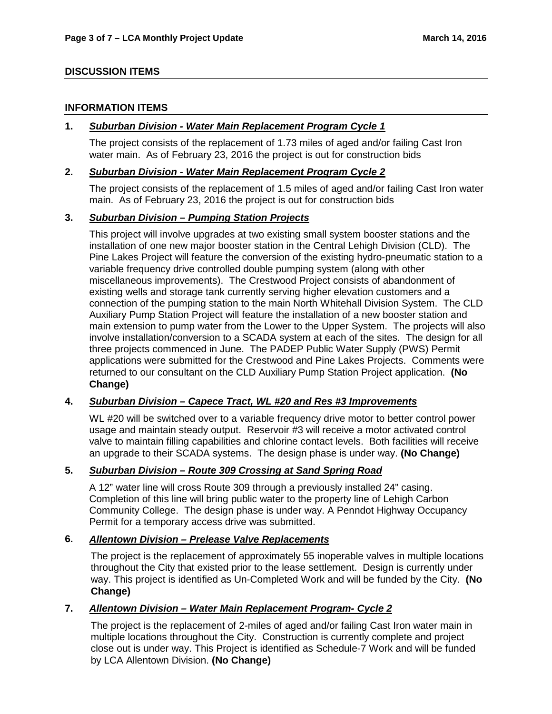## **DISCUSSION ITEMS**

#### **INFORMATION ITEMS**

#### **1.** *Suburban Division - Water Main Replacement Program Cycle 1*

The project consists of the replacement of 1.73 miles of aged and/or failing Cast Iron water main. As of February 23, 2016 the project is out for construction bids

#### **2.** *Suburban Division - Water Main Replacement Program Cycle 2*

The project consists of the replacement of 1.5 miles of aged and/or failing Cast Iron water main. As of February 23, 2016 the project is out for construction bids

#### **3.** *Suburban Division – Pumping Station Projects*

This project will involve upgrades at two existing small system booster stations and the installation of one new major booster station in the Central Lehigh Division (CLD). The Pine Lakes Project will feature the conversion of the existing hydro-pneumatic station to a variable frequency drive controlled double pumping system (along with other miscellaneous improvements). The Crestwood Project consists of abandonment of existing wells and storage tank currently serving higher elevation customers and a connection of the pumping station to the main North Whitehall Division System. The CLD Auxiliary Pump Station Project will feature the installation of a new booster station and main extension to pump water from the Lower to the Upper System. The projects will also involve installation/conversion to a SCADA system at each of the sites. The design for all three projects commenced in June. The PADEP Public Water Supply (PWS) Permit applications were submitted for the Crestwood and Pine Lakes Projects. Comments were returned to our consultant on the CLD Auxiliary Pump Station Project application. **(No Change)**

# **4.** *Suburban Division – Capece Tract, WL #20 and Res #3 Improvements*

WL #20 will be switched over to a variable frequency drive motor to better control power usage and maintain steady output. Reservoir #3 will receive a motor activated control valve to maintain filling capabilities and chlorine contact levels. Both facilities will receive an upgrade to their SCADA systems. The design phase is under way. **(No Change)**

# **5.** *Suburban Division – Route 309 Crossing at Sand Spring Road*

A 12" water line will cross Route 309 through a previously installed 24" casing. Completion of this line will bring public water to the property line of Lehigh Carbon Community College. The design phase is under way. A Penndot Highway Occupancy Permit for a temporary access drive was submitted.

# **6.** *Allentown Division – Prelease Valve Replacements*

The project is the replacement of approximately 55 inoperable valves in multiple locations throughout the City that existed prior to the lease settlement. Design is currently under way. This project is identified as Un-Completed Work and will be funded by the City. **(No Change)**

# **7.** *Allentown Division – Water Main Replacement Program- Cycle 2*

The project is the replacement of 2-miles of aged and/or failing Cast Iron water main in multiple locations throughout the City. Construction is currently complete and project close out is under way. This Project is identified as Schedule-7 Work and will be funded by LCA Allentown Division. **(No Change)**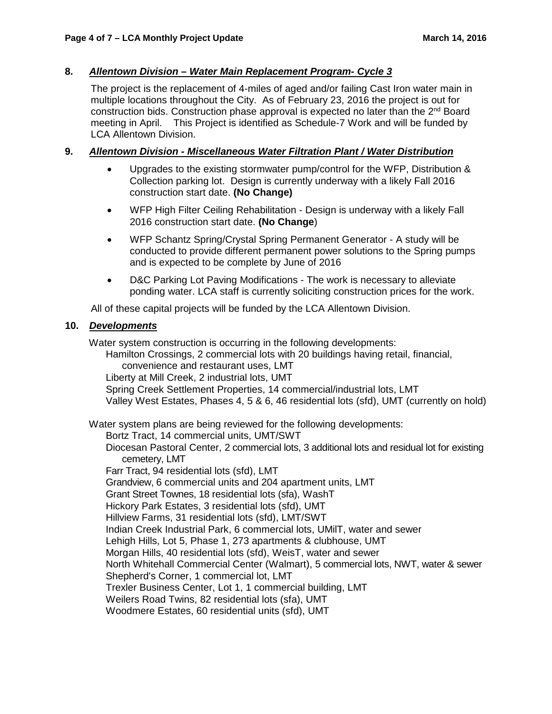# **8.** *Allentown Division – Water Main Replacement Program- Cycle 3*

The project is the replacement of 4-miles of aged and/or failing Cast Iron water main in multiple locations throughout the City. As of February 23, 2016 the project is out for construction bids. Construction phase approval is expected no later than the  $2<sup>nd</sup>$  Board meeting in April. This Project is identified as Schedule-7 Work and will be funded by LCA Allentown Division.

# **9.** *Allentown Division - Miscellaneous Water Filtration Plant / Water Distribution*

- Upgrades to the existing stormwater pump/control for the WFP, Distribution & Collection parking lot. Design is currently underway with a likely Fall 2016 construction start date. **(No Change)**
- WFP High Filter Ceiling Rehabilitation Design is underway with a likely Fall 2016 construction start date. **(No Change**)
- WFP Schantz Spring/Crystal Spring Permanent Generator A study will be conducted to provide different permanent power solutions to the Spring pumps and is expected to be complete by June of 2016
- D&C Parking Lot Paving Modifications The work is necessary to alleviate ponding water. LCA staff is currently soliciting construction prices for the work.

All of these capital projects will be funded by the LCA Allentown Division.

#### **10.** *Developments*

Water system construction is occurring in the following developments:

Hamilton Crossings, 2 commercial lots with 20 buildings having retail, financial, convenience and restaurant uses, LMT

Liberty at Mill Creek, 2 industrial lots, UMT

Spring Creek Settlement Properties, 14 commercial/industrial lots, LMT Valley West Estates, Phases 4, 5 & 6, 46 residential lots (sfd), UMT (currently on hold)

Water system plans are being reviewed for the following developments: Bortz Tract, 14 commercial units, UMT/SWT Diocesan Pastoral Center, 2 commercial lots, 3 additional lots and residual lot for existing cemetery, LMT Farr Tract, 94 residential lots (sfd), LMT Grandview, 6 commercial units and 204 apartment units, LMT Grant Street Townes, 18 residential lots (sfa), WashT Hickory Park Estates, 3 residential lots (sfd), UMT Hillview Farms, 31 residential lots (sfd), LMT/SWT Indian Creek Industrial Park, 6 commercial lots, UMilT, water and sewer Lehigh Hills, Lot 5, Phase 1, 273 apartments & clubhouse, UMT

Morgan Hills, 40 residential lots (sfd), WeisT, water and sewer North Whitehall Commercial Center (Walmart), 5 commercial lots, NWT, water & sewer Shepherd's Corner, 1 commercial lot, LMT

Trexler Business Center, Lot 1, 1 commercial building, LMT

Weilers Road Twins, 82 residential lots (sfa), UMT

Woodmere Estates, 60 residential units (sfd), UMT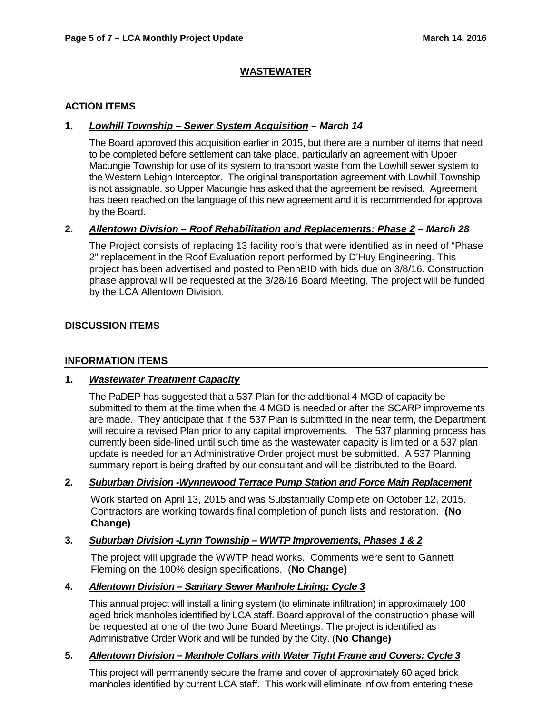# **WASTEWATER**

## **ACTION ITEMS**

## **1.** *Lowhill Township – Sewer System Acquisition – March 14*

The Board approved this acquisition earlier in 2015, but there are a number of items that need to be completed before settlement can take place, particularly an agreement with Upper Macungie Township for use of its system to transport waste from the Lowhill sewer system to the Western Lehigh Interceptor. The original transportation agreement with Lowhill Township is not assignable, so Upper Macungie has asked that the agreement be revised. Agreement has been reached on the language of this new agreement and it is recommended for approval by the Board.

#### **2.** *Allentown Division – Roof Rehabilitation and Replacements: Phase 2 – March 28*

The Project consists of replacing 13 facility roofs that were identified as in need of "Phase 2" replacement in the Roof Evaluation report performed by D'Huy Engineering. This project has been advertised and posted to PennBID with bids due on 3/8/16. Construction phase approval will be requested at the 3/28/16 Board Meeting. The project will be funded by the LCA Allentown Division.

#### **DISCUSSION ITEMS**

#### **INFORMATION ITEMS**

# **1.** *Wastewater Treatment Capacity*

The PaDEP has suggested that a 537 Plan for the additional 4 MGD of capacity be submitted to them at the time when the 4 MGD is needed or after the SCARP improvements are made. They anticipate that if the 537 Plan is submitted in the near term, the Department will require a revised Plan prior to any capital improvements. The 537 planning process has currently been side-lined until such time as the wastewater capacity is limited or a 537 plan update is needed for an Administrative Order project must be submitted. A 537 Planning summary report is being drafted by our consultant and will be distributed to the Board.

#### **2.** *Suburban Division -Wynnewood Terrace Pump Station and Force Main Replacement*

Work started on April 13, 2015 and was Substantially Complete on October 12, 2015. Contractors are working towards final completion of punch lists and restoration. **(No Change)**

#### **3.** *Suburban Division -Lynn Township – WWTP Improvements, Phases 1 & 2*

The project will upgrade the WWTP head works. Comments were sent to Gannett Fleming on the 100% design specifications. (**No Change)**

#### **4.** *Allentown Division – Sanitary Sewer Manhole Lining: Cycle 3*

This annual project will install a lining system (to eliminate infiltration) in approximately 100 aged brick manholes identified by LCA staff. Board approval of the construction phase will be requested at one of the two June Board Meetings. The project is identified as Administrative Order Work and will be funded by the City. (**No Change)**

# **5.** *Allentown Division – Manhole Collars with Water Tight Frame and Covers: Cycle 3*

This project will permanently secure the frame and cover of approximately 60 aged brick manholes identified by current LCA staff. This work will eliminate inflow from entering these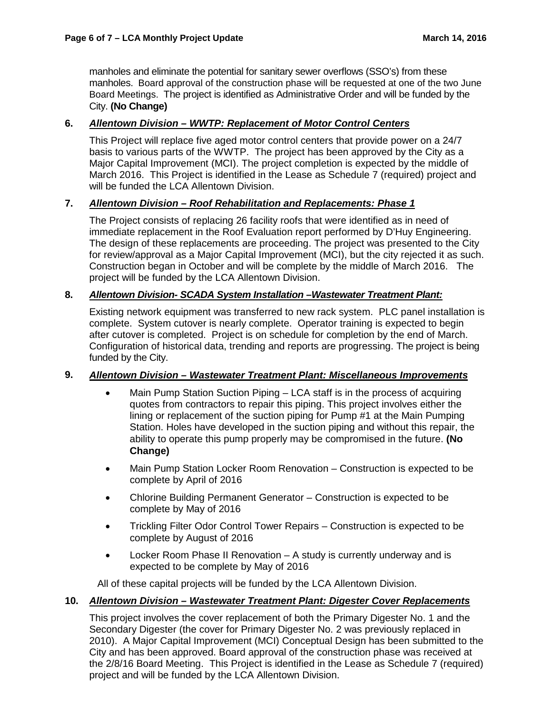manholes and eliminate the potential for sanitary sewer overflows (SSO's) from these manholes. Board approval of the construction phase will be requested at one of the two June Board Meetings. The project is identified as Administrative Order and will be funded by the City. **(No Change)**

# **6.** *Allentown Division – WWTP: Replacement of Motor Control Centers*

This Project will replace five aged motor control centers that provide power on a 24/7 basis to various parts of the WWTP. The project has been approved by the City as a Major Capital Improvement (MCI). The project completion is expected by the middle of March 2016. This Project is identified in the Lease as Schedule 7 (required) project and will be funded the LCA Allentown Division.

# **7.** *Allentown Division – Roof Rehabilitation and Replacements: Phase 1*

The Project consists of replacing 26 facility roofs that were identified as in need of immediate replacement in the Roof Evaluation report performed by D'Huy Engineering. The design of these replacements are proceeding. The project was presented to the City for review/approval as a Major Capital Improvement (MCI), but the city rejected it as such. Construction began in October and will be complete by the middle of March 2016. The project will be funded by the LCA Allentown Division.

# **8.** *Allentown Division- SCADA System Installation –Wastewater Treatment Plant:*

Existing network equipment was transferred to new rack system. PLC panel installation is complete. System cutover is nearly complete. Operator training is expected to begin after cutover is completed. Project is on schedule for completion by the end of March. Configuration of historical data, trending and reports are progressing. The project is being funded by the City.

# **9.** *Allentown Division – Wastewater Treatment Plant: Miscellaneous Improvements*

- Main Pump Station Suction Piping LCA staff is in the process of acquiring quotes from contractors to repair this piping. This project involves either the lining or replacement of the suction piping for Pump #1 at the Main Pumping Station. Holes have developed in the suction piping and without this repair, the ability to operate this pump properly may be compromised in the future. **(No Change)**
- Main Pump Station Locker Room Renovation Construction is expected to be complete by April of 2016
- Chlorine Building Permanent Generator Construction is expected to be complete by May of 2016
- Trickling Filter Odor Control Tower Repairs Construction is expected to be complete by August of 2016
- Locker Room Phase II Renovation A study is currently underway and is expected to be complete by May of 2016

All of these capital projects will be funded by the LCA Allentown Division.

## **10.** *Allentown Division – Wastewater Treatment Plant: Digester Cover Replacements*

This project involves the cover replacement of both the Primary Digester No. 1 and the Secondary Digester (the cover for Primary Digester No. 2 was previously replaced in 2010). A Major Capital Improvement (MCI) Conceptual Design has been submitted to the City and has been approved. Board approval of the construction phase was received at the 2/8/16 Board Meeting. This Project is identified in the Lease as Schedule 7 (required) project and will be funded by the LCA Allentown Division.